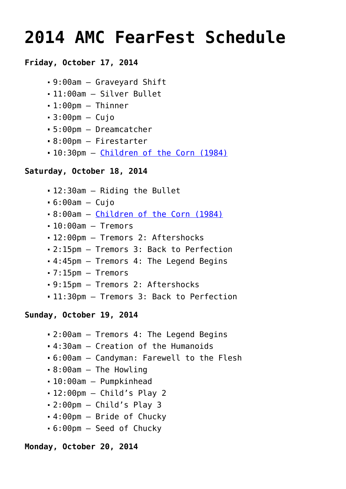# **[2014 AMC FearFest Schedule](https://www.halloweenmoviesontv.com/archives/2014-amc-fearfest-schedule/)**

# **Friday, October 17, 2014**

- 9:00am Graveyard Shift
- 11:00am Silver Bullet
- 1:00pm Thinner
- $-3:00$ pm Cujo
- 5:00pm Dreamcatcher
- 8:00pm Firestarter
- 10:30pm [Children of the Corn \(1984\)](http://www.halloweenmoviesontv.com/halloween-movies-a-to-z/children-of-the-corn-1984/)

## **Saturday, October 18, 2014**

- 12:30am Riding the Bullet
- $-6:00am Cuio$
- 8:00am – [Children of the Corn \(1984\)](http://www.halloweenmoviesontv.com/halloween-movies-a-to-z/children-of-the-corn-1984/)
- $-10:00$ am Tremors
- 12:00pm Tremors 2: Aftershocks
- 2:15pm Tremors 3: Back to Perfection
- 4:45pm Tremors 4: The Legend Begins
- 7:15pm Tremors
- 9:15pm Tremors 2: Aftershocks
- 11:30pm Tremors 3: Back to Perfection

## **Sunday, October 19, 2014**

- 2:00am Tremors 4: The Legend Begins
- 4:30am Creation of the Humanoids
- 6:00am Candyman: Farewell to the Flesh
- 8:00am The Howling
- 10:00am Pumpkinhead
- $-12:00$ pm Child's Play 2
- 2:00pm Child's Play 3
- 4:00pm Bride of Chucky
- 6:00pm Seed of Chucky

## **Monday, October 20, 2014**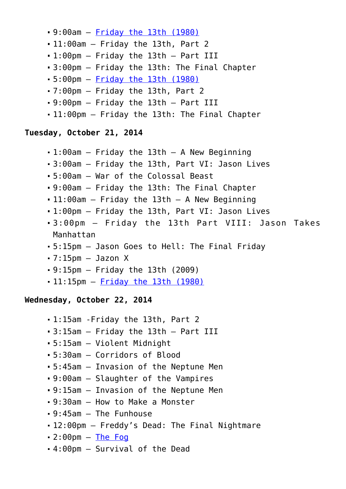- 9:00am – [Friday the 13th \(1980\)](http://www.halloweenmoviesontv.com/halloween-movies-a-to-z/friday-the-13th-1980/)
- 11:00am Friday the 13th, Part 2
- 1:00pm Friday the 13th Part III
- 3:00pm Friday the 13th: The Final Chapter
- 5:00pm – [Friday the 13th \(1980\)](http://www.halloweenmoviesontv.com/halloween-movies-a-to-z/friday-the-13th-1980/)
- 7:00pm Friday the 13th, Part 2
- 9:00pm Friday the 13th Part III
- 11:00pm Friday the 13th: The Final Chapter

## **Tuesday, October 21, 2014**

- 1:00am Friday the 13th A New Beginning
- 3:00am Friday the 13th, Part VI: Jason Lives
- 5:00am War of the Colossal Beast
- 9:00am Friday the 13th: The Final Chapter
- 11:00am Friday the 13th A New Beginning
- 1:00pm Friday the 13th, Part VI: Jason Lives
- 3:00pm Friday the 13th Part VIII: Jason Takes Manhattan
- 5:15pm Jason Goes to Hell: The Final Friday
- $-7:15$ pm  $-$  Jazon X
- 9:15pm Friday the 13th (2009)
- 11:15pm [Friday the 13th \(1980\)](http://www.halloweenmoviesontv.com/halloween-movies-a-to-z/friday-the-13th-1980/)

## **Wednesday, October 22, 2014**

- 1:15am -Friday the 13th, Part 2
- 3:15am Friday the 13th Part III
- 5:15am Violent Midnight
- 5:30am Corridors of Blood
- 5:45am Invasion of the Neptune Men
- 9:00am Slaughter of the Vampires
- 9:15am Invasion of the Neptune Men
- 9:30am How to Make a Monster
- 9:45am The Funhouse
- 12:00pm Freddy's Dead: The Final Nightmare
- $-2:00$ pm  $-$  [The Fog](http://www.halloweenmoviesontv.com/halloween-movies-a-to-z/the-fog-1980/)
- 4:00pm Survival of the Dead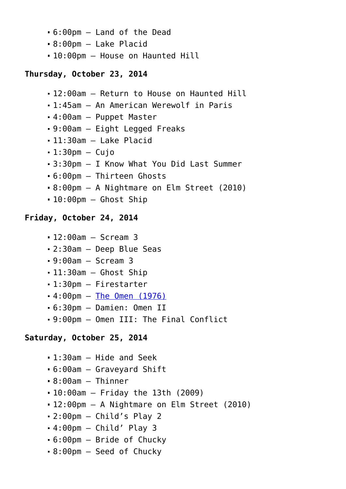- 6:00pm Land of the Dead
- 8:00pm Lake Placid
- 10:00pm House on Haunted Hill

# **Thursday, October 23, 2014**

- 12:00am Return to House on Haunted Hill
- 1:45am An American Werewolf in Paris
- 4:00am Puppet Master
- 9:00am Eight Legged Freaks
- 11:30am Lake Placid
- $-1:30$ pm  $-$  Cuio
- 3:30pm I Know What You Did Last Summer
- 6:00pm Thirteen Ghosts
- 8:00pm A Nightmare on Elm Street (2010)
- 10:00pm Ghost Ship

# **Friday, October 24, 2014**

- 12:00am Scream 3
- 2:30am Deep Blue Seas
- 9:00am Scream 3
- 11:30am Ghost Ship
- 1:30pm Firestarter
- 4:00pm – [The Omen \(1976\)](http://www.halloweenmoviesontv.com/halloween-movies-a-to-z/the-omen-1976/)
- 6:30pm Damien: Omen II
- 9:00pm Omen III: The Final Conflict

# **Saturday, October 25, 2014**

- 1:30am Hide and Seek
- 6:00am Graveyard Shift
- 8:00am Thinner
- 10:00am Friday the 13th (2009)
- 12:00pm A Nightmare on Elm Street (2010)
- $-2:00$ pm Child's Play 2
- 4:00pm Child' Play 3
- 6:00pm Bride of Chucky
- 8:00pm Seed of Chucky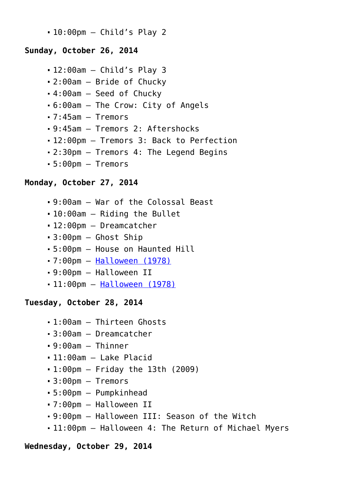10:00pm – Child's Play 2

## **Sunday, October 26, 2014**

- 12:00am Child's Play 3
- 2:00am Bride of Chucky
- 4:00am Seed of Chucky
- 6:00am The Crow: City of Angels
- 7:45am Tremors
- 9:45am Tremors 2: Aftershocks
- 12:00pm Tremors 3: Back to Perfection
- 2:30pm Tremors 4: The Legend Begins
- 5:00pm Tremors

## **Monday, October 27, 2014**

- 9:00am War of the Colossal Beast
- 10:00am Riding the Bullet
- 12:00pm Dreamcatcher
- 3:00pm Ghost Ship
- 5:00pm House on Haunted Hill
- 7:00pm – [Halloween \(1978\)](http://www.halloweenmoviesontv.com/halloween-movies-a-to-z/halloween-1978/)
- 9:00pm Halloween II
- 11:00pm [Halloween \(1978\)](http://www.halloweenmoviesontv.com/halloween-movies-a-to-z/halloween-1978/)

#### **Tuesday, October 28, 2014**

- 1:00am Thirteen Ghosts
- 3:00am Dreamcatcher
- 9:00am Thinner
- 11:00am Lake Placid
- 1:00pm Friday the 13th (2009)
- 3:00pm Tremors
- 5:00pm Pumpkinhead
- 7:00pm Halloween II
- 9:00pm Halloween III: Season of the Witch
- 11:00pm Halloween 4: The Return of Michael Myers

#### **Wednesday, October 29, 2014**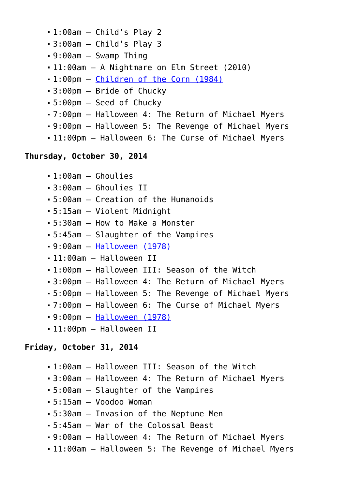- 1:00am Child's Play 2
- 3:00am Child's Play 3
- 9:00am Swamp Thing
- 11:00am A Nightmare on Elm Street (2010)
- 1:00pm – [Children of the Corn \(1984\)](http://www.halloweenmoviesontv.com/halloween-movies-a-to-z/children-of-the-corn-1984/)
- 3:00pm Bride of Chucky
- 5:00pm Seed of Chucky
- 7:00pm Halloween 4: The Return of Michael Myers
- 9:00pm Halloween 5: The Revenge of Michael Myers
- 11:00pm Halloween 6: The Curse of Michael Myers

## **Thursday, October 30, 2014**

```
-1:00am – Ghoulies
```
- 3:00am Ghoulies II
- 5:00am Creation of the Humanoids
- 5:15am Violent Midnight
- 5:30am How to Make a Monster
- 5:45am Slaughter of the Vampires
- 9:00am – [Halloween \(1978\)](http://www.halloweenmoviesontv.com/halloween-movies-a-to-z/halloween-1978/)
- 11:00am Halloween II
- 1:00pm Halloween III: Season of the Witch
- 3:00pm Halloween 4: The Return of Michael Myers
- 5:00pm Halloween 5: The Revenge of Michael Myers
- 7:00pm Halloween 6: The Curse of Michael Myers
- 9:00pm – [Halloween \(1978\)](http://www.halloweenmoviesontv.com/halloween-movies-a-to-z/halloween-1978/)
- 11:00pm Halloween II

#### **Friday, October 31, 2014**

- 1:00am Halloween III: Season of the Witch
- 3:00am Halloween 4: The Return of Michael Myers
- 5:00am Slaughter of the Vampires
- 5:15am Voodoo Woman
- 5:30am Invasion of the Neptune Men
- 5:45am War of the Colossal Beast
- 9:00am Halloween 4: The Return of Michael Myers
- 11:00am Halloween 5: The Revenge of Michael Myers